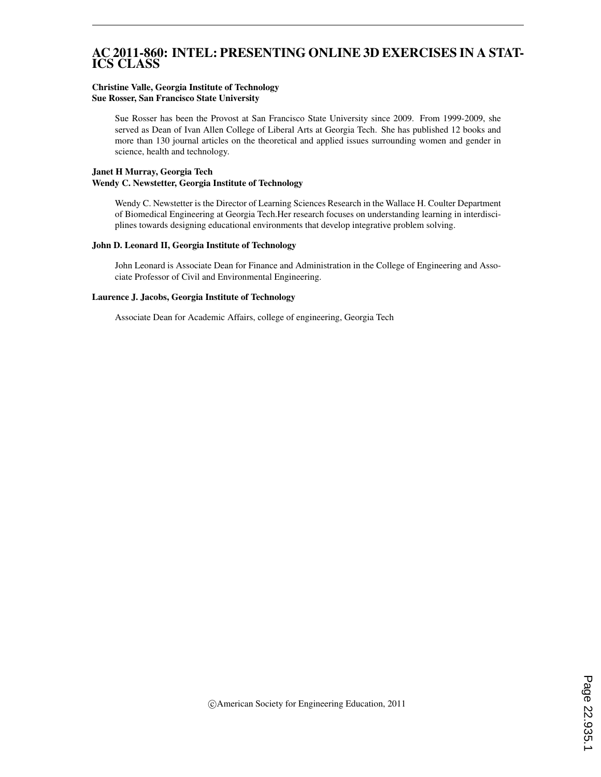### AC 2011-860: INTEL: PRESENTING ONLINE 3D EXERCISES IN A STAT-ICS CLASS

#### Christine Valle, Georgia Institute of Technology Sue Rosser, San Francisco State University

Sue Rosser has been the Provost at San Francisco State University since 2009. From 1999-2009, she served as Dean of Ivan Allen College of Liberal Arts at Georgia Tech. She has published 12 books and more than 130 journal articles on the theoretical and applied issues surrounding women and gender in science, health and technology.

### Janet H Murray, Georgia Tech Wendy C. Newstetter, Georgia Institute of Technology

Wendy C. Newstetter is the Director of Learning Sciences Research in the Wallace H. Coulter Department of Biomedical Engineering at Georgia Tech.Her research focuses on understanding learning in interdisciplines towards designing educational environments that develop integrative problem solving.

#### John D. Leonard II, Georgia Institute of Technology

John Leonard is Associate Dean for Finance and Administration in the College of Engineering and Associate Professor of Civil and Environmental Engineering.

#### Laurence J. Jacobs, Georgia Institute of Technology

Associate Dean for Academic Affairs, college of engineering, Georgia Tech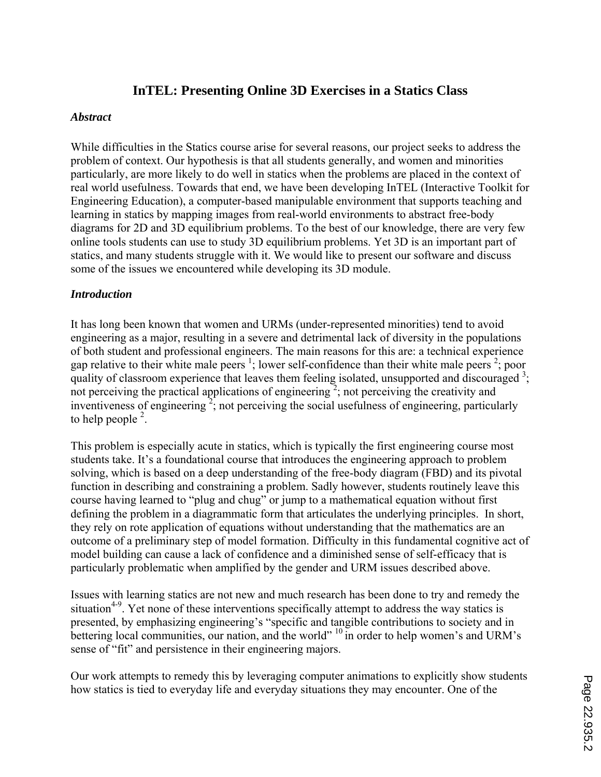# **InTEL: Presenting Online 3D Exercises in a Statics Class**

### *Abstract*

While difficulties in the Statics course arise for several reasons, our project seeks to address the problem of context. Our hypothesis is that all students generally, and women and minorities particularly, are more likely to do well in statics when the problems are placed in the context of real world usefulness. Towards that end, we have been developing InTEL (Interactive Toolkit for Engineering Education), a computer-based manipulable environment that supports teaching and learning in statics by mapping images from real-world environments to abstract free-body diagrams for 2D and 3D equilibrium problems. To the best of our knowledge, there are very few online tools students can use to study 3D equilibrium problems. Yet 3D is an important part of statics, and many students struggle with it. We would like to present our software and discuss some of the issues we encountered while developing its 3D module.

### *Introduction*

It has long been known that women and URMs (under-represented minorities) tend to avoid engineering as a major, resulting in a severe and detrimental lack of diversity in the populations of both student and professional engineers. The main reasons for this are: a technical experience gap relative to their white male peers<sup>1</sup>; lower self-confidence than their white male peers<sup>2</sup>; poor quality of classroom experience that leaves them feeling isolated, unsupported and discouraged  $3$ ; not perceiving the practical applications of engineering<sup>2</sup>; not perceiving the creativity and inventiveness of engineering<sup>2</sup>; not perceiving the social usefulness of engineering, particularly to help people  $2$ .

This problem is especially acute in statics, which is typically the first engineering course most students take. It's a foundational course that introduces the engineering approach to problem solving, which is based on a deep understanding of the free-body diagram (FBD) and its pivotal function in describing and constraining a problem. Sadly however, students routinely leave this course having learned to "plug and chug" or jump to a mathematical equation without first defining the problem in a diagrammatic form that articulates the underlying principles. In short, they rely on rote application of equations without understanding that the mathematics are an outcome of a preliminary step of model formation. Difficulty in this fundamental cognitive act of model building can cause a lack of confidence and a diminished sense of self-efficacy that is particularly problematic when amplified by the gender and URM issues described above.

Issues with learning statics are not new and much research has been done to try and remedy the situation<sup>4-9</sup>. Yet none of these interventions specifically attempt to address the way statics is presented, by emphasizing engineering's "specific and tangible contributions to society and in bettering local communities, our nation, and the world" <sup>10</sup> in order to help women's and URM's sense of "fit" and persistence in their engineering majors.

Our work attempts to remedy this by leveraging computer animations to explicitly show students how statics is tied to everyday life and everyday situations they may encounter. One of the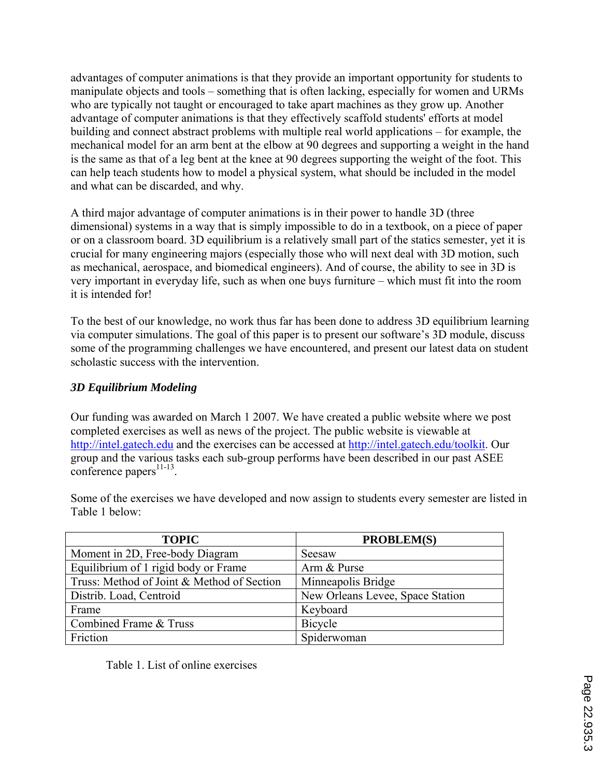advantages of computer animations is that they provide an important opportunity for students to manipulate objects and tools – something that is often lacking, especially for women and URMs who are typically not taught or encouraged to take apart machines as they grow up. Another advantage of computer animations is that they effectively scaffold students' efforts at model building and connect abstract problems with multiple real world applications – for example, the mechanical model for an arm bent at the elbow at 90 degrees and supporting a weight in the hand is the same as that of a leg bent at the knee at 90 degrees supporting the weight of the foot. This can help teach students how to model a physical system, what should be included in the model and what can be discarded, and why.

A third major advantage of computer animations is in their power to handle 3D (three dimensional) systems in a way that is simply impossible to do in a textbook, on a piece of paper or on a classroom board. 3D equilibrium is a relatively small part of the statics semester, yet it is crucial for many engineering majors (especially those who will next deal with 3D motion, such as mechanical, aerospace, and biomedical engineers). And of course, the ability to see in 3D is very important in everyday life, such as when one buys furniture – which must fit into the room it is intended for!

To the best of our knowledge, no work thus far has been done to address 3D equilibrium learning via computer simulations. The goal of this paper is to present our software's 3D module, discuss some of the programming challenges we have encountered, and present our latest data on student scholastic success with the intervention.

## *3D Equilibrium Modeling*

Our funding was awarded on March 1 2007. We have created a public website where we post completed exercises as well as news of the project. The public website is viewable at http://intel.gatech.edu and the exercises can be accessed at http://intel.gatech.edu/toolkit. Our group and the various tasks each sub-group performs have been described in our past ASEE  $\text{conference}\text{ papers}^{11-13}$ .

| <b>TOPIC</b>                               | <b>PROBLEM(S)</b>                |
|--------------------------------------------|----------------------------------|
| Moment in 2D, Free-body Diagram            | Seesaw                           |
| Equilibrium of 1 rigid body or Frame       | Arm & Purse                      |
| Truss: Method of Joint & Method of Section | Minneapolis Bridge               |
| Distrib. Load, Centroid                    | New Orleans Levee, Space Station |
| Frame                                      | Keyboard                         |
| Combined Frame & Truss                     | Bicycle                          |
| Friction                                   | Spiderwoman                      |

Some of the exercises we have developed and now assign to students every semester are listed in Table 1 below:

Table 1. List of online exercises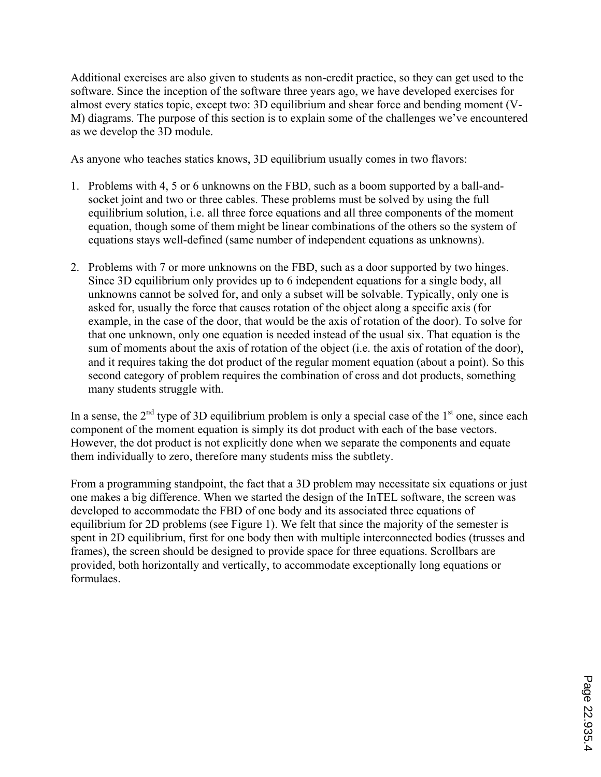Additional exercises are also given to students as non-credit practice, so they can get used to the software. Since the inception of the software three years ago, we have developed exercises for almost every statics topic, except two: 3D equilibrium and shear force and bending moment (V-M) diagrams. The purpose of this section is to explain some of the challenges we've encountered as we develop the 3D module.

As anyone who teaches statics knows, 3D equilibrium usually comes in two flavors:

- 1. Problems with 4, 5 or 6 unknowns on the FBD, such as a boom supported by a ball-andsocket joint and two or three cables. These problems must be solved by using the full equilibrium solution, i.e. all three force equations and all three components of the moment equation, though some of them might be linear combinations of the others so the system of equations stays well-defined (same number of independent equations as unknowns).
- 2. Problems with 7 or more unknowns on the FBD, such as a door supported by two hinges. Since 3D equilibrium only provides up to 6 independent equations for a single body, all unknowns cannot be solved for, and only a subset will be solvable. Typically, only one is asked for, usually the force that causes rotation of the object along a specific axis (for example, in the case of the door, that would be the axis of rotation of the door). To solve for that one unknown, only one equation is needed instead of the usual six. That equation is the sum of moments about the axis of rotation of the object (i.e. the axis of rotation of the door), and it requires taking the dot product of the regular moment equation (about a point). So this second category of problem requires the combination of cross and dot products, something many students struggle with.

In a sense, the  $2<sup>nd</sup>$  type of 3D equilibrium problem is only a special case of the  $1<sup>st</sup>$  one, since each component of the moment equation is simply its dot product with each of the base vectors. However, the dot product is not explicitly done when we separate the components and equate them individually to zero, therefore many students miss the subtlety.

From a programming standpoint, the fact that a 3D problem may necessitate six equations or just one makes a big difference. When we started the design of the InTEL software, the screen was developed to accommodate the FBD of one body and its associated three equations of equilibrium for 2D problems (see Figure 1). We felt that since the majority of the semester is spent in 2D equilibrium, first for one body then with multiple interconnected bodies (trusses and frames), the screen should be designed to provide space for three equations. Scrollbars are provided, both horizontally and vertically, to accommodate exceptionally long equations or formulaes.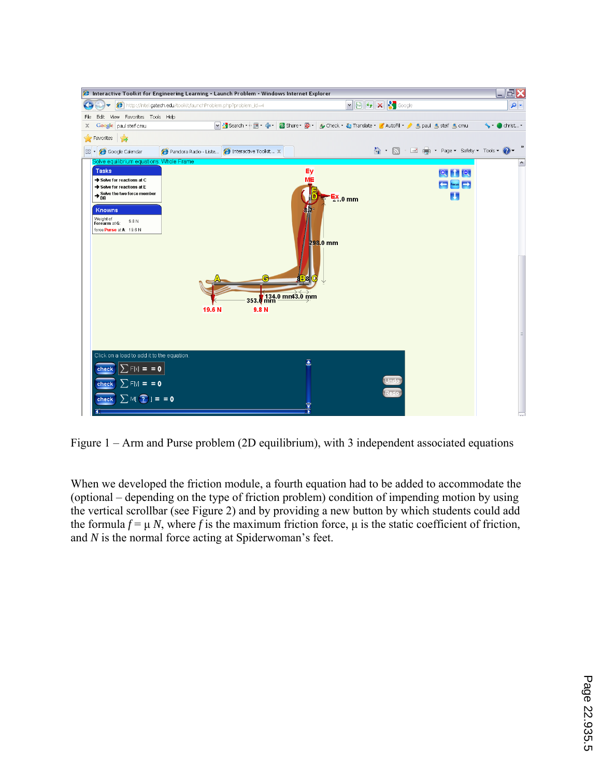

Figure 1 – Arm and Purse problem (2D equilibrium), with 3 independent associated equations

When we developed the friction module, a fourth equation had to be added to accommodate the (optional – depending on the type of friction problem) condition of impending motion by using the vertical scrollbar (see Figure 2) and by providing a new button by which students could add the formula  $f = \mu N$ , where f is the maximum friction force,  $\mu$  is the static coefficient of friction, and *N* is the normal force acting at Spiderwoman's feet.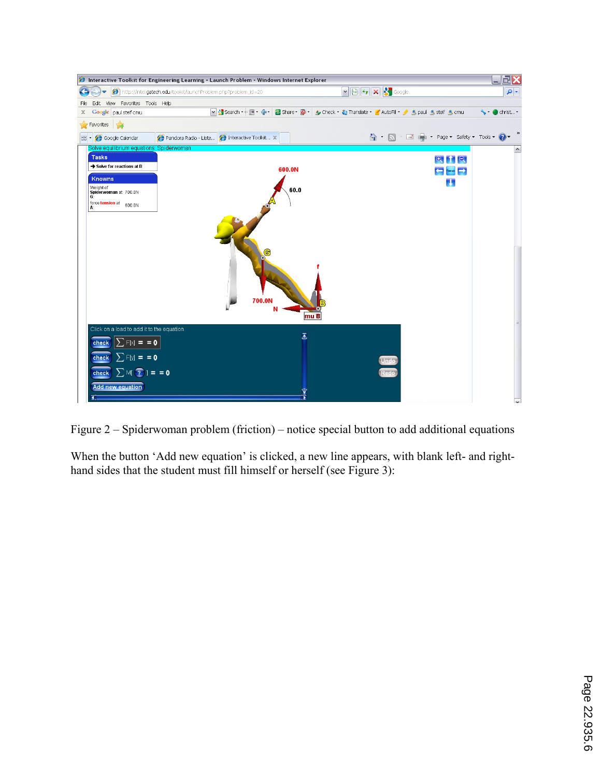|                                                                          | <b>@</b> Interactive Toolkit for Engineering Learning - Launch Problem - Windows Internet Explorer |                                                                        | $\square\square$    |
|--------------------------------------------------------------------------|----------------------------------------------------------------------------------------------------|------------------------------------------------------------------------|---------------------|
|                                                                          | http://intel.gatech.edu/toolkit/launchProblem.php?problem_id=20                                    | $\boxed{\mathbf{v} \boxtimes \mathbf{v} \boxtimes \mathbf{x}}$         | $\mathbf{a}$        |
| Edit View Favorites Tools Help<br>File                                   |                                                                                                    |                                                                        |                     |
| Google paul steif cmu<br>x                                               | V Search → ■ → ● →                                                                                 | Share - Sp - A Check - Sp Translate - AutoFill - A spaul & steif & cmu | └ christ -          |
| <b>Favorites</b> $\frac{1}{2}$                                           |                                                                                                    |                                                                        |                     |
| Google Calendar<br>88 -                                                  | Pandora Radio - Liste <b>O</b> Interactive Toolkit X                                               | A · N · □ ■ · Page · Safety · Tools · 2 ·                              |                     |
| Solve equilibrium equations: Spiderwoman<br><b>Tasks</b>                 |                                                                                                    |                                                                        | $\hat{\phantom{a}}$ |
| Solve for reactions at B                                                 | 600.0N                                                                                             | $Q$ $HQ$                                                               |                     |
| Knowns                                                                   |                                                                                                    | $\leftarrow$ Focus $\rightarrow$                                       |                     |
| Weight of<br>Spiderwoman at 700.0N                                       | 60.0                                                                                               | u                                                                      |                     |
| G.                                                                       |                                                                                                    |                                                                        |                     |
| force tension at 600.0N<br>А.                                            |                                                                                                    |                                                                        |                     |
|                                                                          | 700.0N<br>mu B                                                                                     |                                                                        |                     |
|                                                                          |                                                                                                    |                                                                        |                     |
| Click on a load to add it to the equation.<br>$\sum$ F[x] = = 0<br>check | $\overline{\underline{\textbf{a}}}$                                                                |                                                                        |                     |
| $\sum$ F[y] = = 0<br>check<br>check $\sum M($ ? $] = 0$                  |                                                                                                    | Unde                                                                   |                     |
| Add new equation                                                         |                                                                                                    |                                                                        |                     |

Figure 2 – Spiderwoman problem (friction) – notice special button to add additional equations

When the button 'Add new equation' is clicked, a new line appears, with blank left- and righthand sides that the student must fill himself or herself (see Figure 3):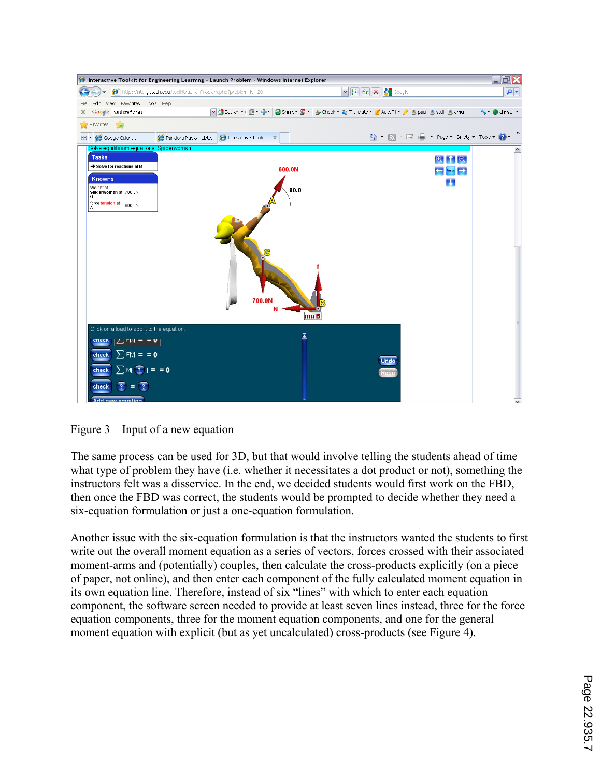|                                                                                                                                                                                        | <b>C</b> Interactive Toolkit for Engineering Learning - Launch Problem - Windows Internet Explorer |                         |                                                                                                                                          |                                  | $\blacksquare$ $\blacksquare$ $\times$ |
|----------------------------------------------------------------------------------------------------------------------------------------------------------------------------------------|----------------------------------------------------------------------------------------------------|-------------------------|------------------------------------------------------------------------------------------------------------------------------------------|----------------------------------|----------------------------------------|
|                                                                                                                                                                                        | http://intel.gatech.edu/toolkit/launchProblem.php?problem_id=20                                    |                         | $\begin{array}{ c c c }\hline \textbf{v} & \textbf{v} & \textbf{v} \\ \hline \textbf{v} & \textbf{v} & \textbf{v} \\ \hline \end{array}$ |                                  | - ام                                   |
| Edit View Favorites Tools Help<br>File                                                                                                                                                 |                                                                                                    |                         |                                                                                                                                          |                                  |                                        |
| Google paul steif cmu<br>x                                                                                                                                                             | M Search → 国 → 中 →                                                                                 |                         | Share + Su + A Check + & Translate + & AutoFill + B paul S steif S cmu                                                                   |                                  | $\bullet$ ohrist                       |
| Favorites s                                                                                                                                                                            |                                                                                                    |                         |                                                                                                                                          |                                  |                                        |
| Google Calendar<br>88                                                                                                                                                                  | Pandora Radio - Liste <b>@ Interactive Toolkit X</b>                                               |                         | △ · △ · ■ ● · Page · Safety · Tools · ② ·                                                                                                |                                  |                                        |
| Solve equilibrium equations: Spiderwoman                                                                                                                                               |                                                                                                    |                         |                                                                                                                                          |                                  | $\hat{\phantom{a}}$                    |
| <b>Tasks</b>                                                                                                                                                                           |                                                                                                    |                         |                                                                                                                                          | $Q$ $\uparrow$ $Q$               |                                        |
| Solve for reactions at B                                                                                                                                                               |                                                                                                    | 600.0N                  |                                                                                                                                          | $\leftarrow$ Focus $\rightarrow$ |                                        |
| Knowns                                                                                                                                                                                 |                                                                                                    |                         |                                                                                                                                          | u                                |                                        |
| Weight of<br>Spiderwoman at 700.0N                                                                                                                                                     |                                                                                                    | 60.0                    |                                                                                                                                          |                                  |                                        |
| G:<br>force tension at 600.0N<br>Α.                                                                                                                                                    |                                                                                                    |                         |                                                                                                                                          |                                  |                                        |
|                                                                                                                                                                                        |                                                                                                    | 700.0N<br>mu B          |                                                                                                                                          |                                  |                                        |
| Click on a load to add it to the equation.<br>$ C =  C $<br>$\sum$ F[y] = = 0<br>check<br>$\sum M$ $(2)$ = = 0<br>check<br>$\sqrt{2}$<br>$\overline{?}$ =<br>check<br>Add new equation |                                                                                                    | $\overline{\mathbf{z}}$ | Undo<br>Redo                                                                                                                             |                                  |                                        |

Figure 3 – Input of a new equation

The same process can be used for 3D, but that would involve telling the students ahead of time what type of problem they have (i.e. whether it necessitates a dot product or not), something the instructors felt was a disservice. In the end, we decided students would first work on the FBD, then once the FBD was correct, the students would be prompted to decide whether they need a six-equation formulation or just a one-equation formulation.

Another issue with the six-equation formulation is that the instructors wanted the students to first write out the overall moment equation as a series of vectors, forces crossed with their associated moment-arms and (potentially) couples, then calculate the cross-products explicitly (on a piece of paper, not online), and then enter each component of the fully calculated moment equation in its own equation line. Therefore, instead of six "lines" with which to enter each equation component, the software screen needed to provide at least seven lines instead, three for the force equation components, three for the moment equation components, and one for the general moment equation with explicit (but as yet uncalculated) cross-products (see Figure 4).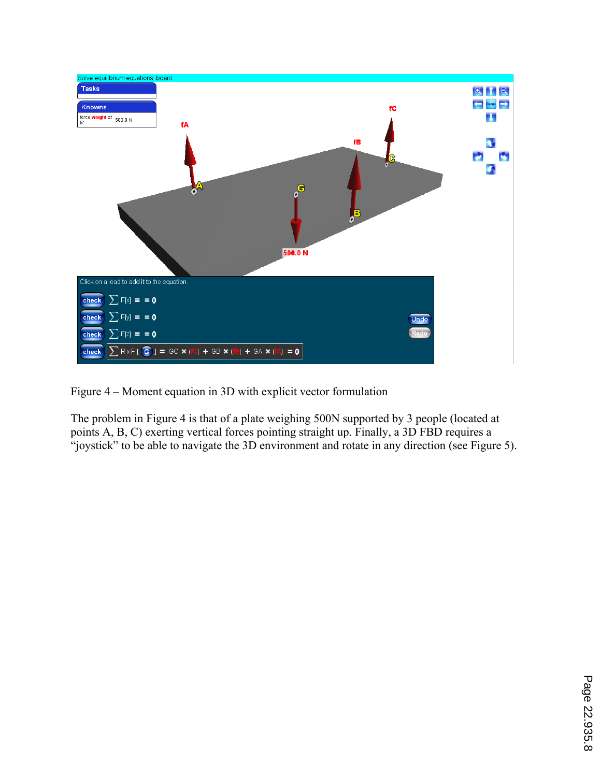

Figure 4 – Moment equation in 3D with explicit vector formulation

The problem in Figure 4 is that of a plate weighing 500N supported by 3 people (located at points A, B, C) exerting vertical forces pointing straight up. Finally, a 3D FBD requires a "joystick" to be able to navigate the 3D environment and rotate in any direction (see Figure 5).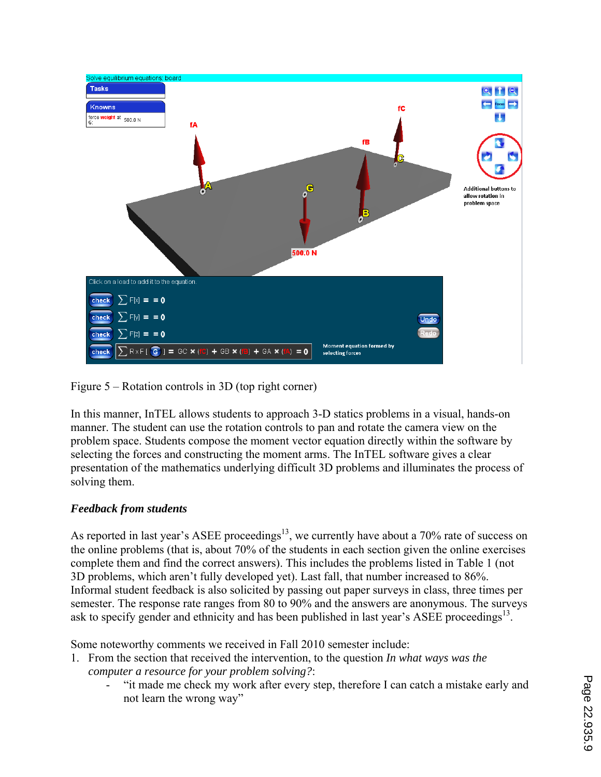

Figure 5 – Rotation controls in 3D (top right corner)

In this manner, InTEL allows students to approach 3-D statics problems in a visual, hands-on manner. The student can use the rotation controls to pan and rotate the camera view on the problem space. Students compose the moment vector equation directly within the software by selecting the forces and constructing the moment arms. The InTEL software gives a clear presentation of the mathematics underlying difficult 3D problems and illuminates the process of solving them.

# *Feedback from students*

As reported in last year's ASEE proceedings<sup>13</sup>, we currently have about a 70% rate of success on the online problems (that is, about 70% of the students in each section given the online exercises complete them and find the correct answers). This includes the problems listed in Table 1 (not 3D problems, which aren't fully developed yet). Last fall, that number increased to 86%. Informal student feedback is also solicited by passing out paper surveys in class, three times per semester. The response rate ranges from 80 to 90% and the answers are anonymous. The surveys ask to specify gender and ethnicity and has been published in last year's ASEE proceedings<sup>13</sup>.

Some noteworthy comments we received in Fall 2010 semester include:

- 1. From the section that received the intervention, to the question *In what ways was the computer a resource for your problem solving?*:
	- "it made me check my work after every step, therefore I can catch a mistake early and not learn the wrong way"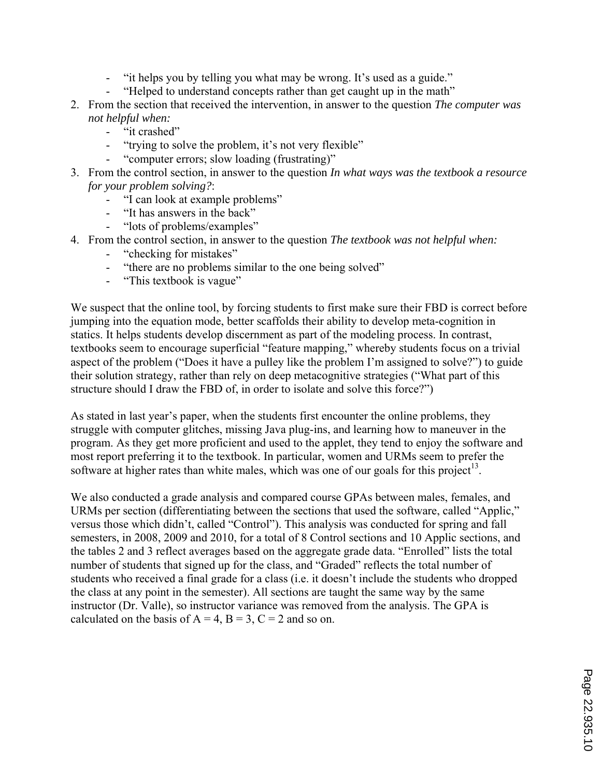- "it helps you by telling you what may be wrong. It's used as a guide."
- "Helped to understand concepts rather than get caught up in the math"
- 2. From the section that received the intervention, in answer to the question *The computer was not helpful when:*
	- "it crashed"
	- "trying to solve the problem, it's not very flexible"
	- "computer errors; slow loading (frustrating)"
- 3. From the control section, in answer to the question *In what ways was the textbook a resource for your problem solving?*:
	- "I can look at example problems"
	- "It has answers in the back"
	- "lots of problems/examples"
- 4. From the control section, in answer to the question *The textbook was not helpful when:*
	- "checking for mistakes"
	- "there are no problems similar to the one being solved"
	- "This textbook is vague"

We suspect that the online tool, by forcing students to first make sure their FBD is correct before jumping into the equation mode, better scaffolds their ability to develop meta-cognition in statics. It helps students develop discernment as part of the modeling process. In contrast, textbooks seem to encourage superficial "feature mapping," whereby students focus on a trivial aspect of the problem ("Does it have a pulley like the problem I'm assigned to solve?") to guide their solution strategy, rather than rely on deep metacognitive strategies ("What part of this structure should I draw the FBD of, in order to isolate and solve this force?")

As stated in last year's paper, when the students first encounter the online problems, they struggle with computer glitches, missing Java plug-ins, and learning how to maneuver in the program. As they get more proficient and used to the applet, they tend to enjoy the software and most report preferring it to the textbook. In particular, women and URMs seem to prefer the software at higher rates than white males, which was one of our goals for this project<sup>13</sup>.

We also conducted a grade analysis and compared course GPAs between males, females, and URMs per section (differentiating between the sections that used the software, called "Applic," versus those which didn't, called "Control"). This analysis was conducted for spring and fall semesters, in 2008, 2009 and 2010, for a total of 8 Control sections and 10 Applic sections, and the tables 2 and 3 reflect averages based on the aggregate grade data. "Enrolled" lists the total number of students that signed up for the class, and "Graded" reflects the total number of students who received a final grade for a class (i.e. it doesn't include the students who dropped the class at any point in the semester). All sections are taught the same way by the same instructor (Dr. Valle), so instructor variance was removed from the analysis. The GPA is calculated on the basis of  $A = 4$ ,  $B = 3$ ,  $C = 2$  and so on.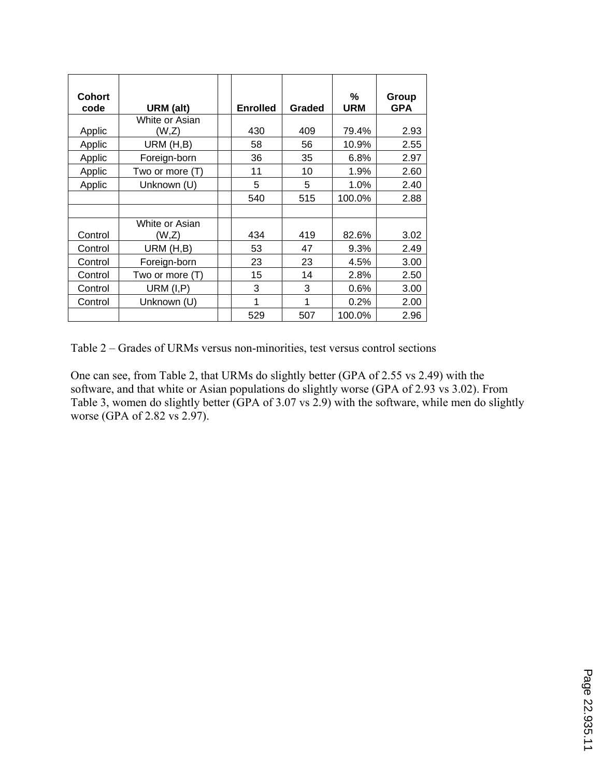| <b>Cohort</b><br>code | URM (alt)       | <b>Enrolled</b> | <b>Graded</b> | %<br><b>URM</b> | Group<br><b>GPA</b> |
|-----------------------|-----------------|-----------------|---------------|-----------------|---------------------|
|                       | White or Asian  |                 |               |                 |                     |
| Applic                | (W,Z)           | 430             | 409           | 79.4%           | 2.93                |
| Applic                | URM (H,B)       | 58              | 56            | 10.9%           | 2.55                |
| Applic                | Foreign-born    | 36              | 35            | 6.8%            | 2.97                |
| Applic                | Two or more (T) | 11              | 10            | 1.9%            | 2.60                |
| Applic                | Unknown (U)     | 5               | 5             | 1.0%            | 2.40                |
|                       |                 | 540             | 515           | 100.0%          | 2.88                |
|                       |                 |                 |               |                 |                     |
|                       | White or Asian  |                 |               |                 |                     |
| Control               | (W,Z)           | 434             | 419           | 82.6%           | 3.02                |
| Control               | URM (H,B)       | 53              | 47            | 9.3%            | 2.49                |
| Control               | Foreign-born    | 23              | 23            | 4.5%            | 3.00                |
| Control               | Two or more (T) | 15              | 14            | 2.8%            | 2.50                |
| Control               | URM $(I, P)$    | 3               | 3             | 0.6%            | 3.00                |
| Control               | Unknown (U)     | 1               | 1             | 0.2%            | 2.00                |
|                       |                 | 529             | 507           | 100.0%          | 2.96                |

Table 2 – Grades of URMs versus non-minorities, test versus control sections

One can see, from Table 2, that URMs do slightly better (GPA of 2.55 vs 2.49) with the software, and that white or Asian populations do slightly worse (GPA of 2.93 vs 3.02). From Table 3, women do slightly better (GPA of 3.07 vs 2.9) with the software, while men do slightly worse (GPA of 2.82 vs 2.97).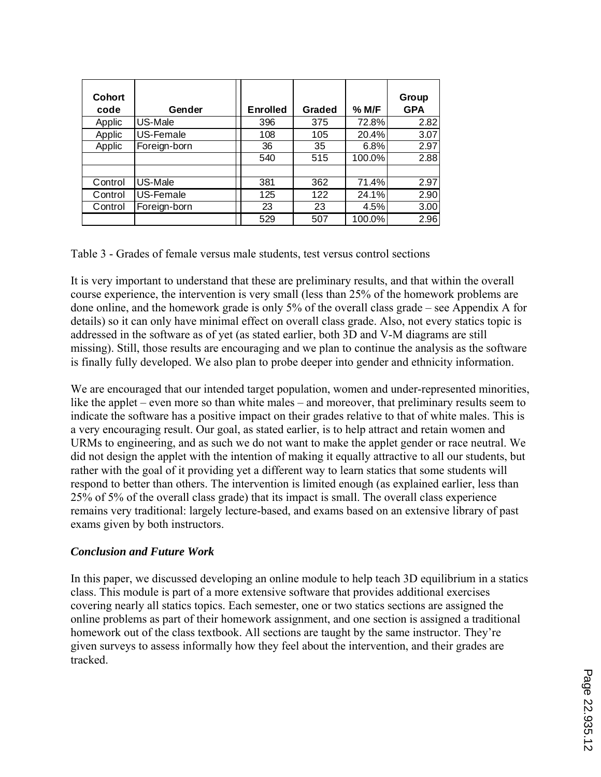| <b>Cohort</b><br>code | Gender       | <b>Enrolled</b> | <b>Graded</b> | % M/F  | Group<br><b>GPA</b> |
|-----------------------|--------------|-----------------|---------------|--------|---------------------|
| Applic                | US-Male      | 396             | 375           | 72.8%  | 2.82                |
| Applic                | US-Female    | 108             | 105           | 20.4%  | 3.07                |
| Applic                | Foreign-born | 36              | 35            | 6.8%   | 2.97                |
|                       |              | 540             | 515           | 100.0% | 2.88                |
|                       |              |                 |               |        |                     |
| Control               | US-Male      | 381             | 362           | 71.4%  | 2.97                |
| Control               | US-Female    | 125             | 122           | 24.1%  | 2.90                |
| Control               | Foreign-born | 23              | 23            | 4.5%   | 3.00                |
|                       |              | 529             | 507           | 100.0% | 2.96                |

Table 3 - Grades of female versus male students, test versus control sections

It is very important to understand that these are preliminary results, and that within the overall course experience, the intervention is very small (less than 25% of the homework problems are done online, and the homework grade is only 5% of the overall class grade – see Appendix A for details) so it can only have minimal effect on overall class grade. Also, not every statics topic is addressed in the software as of yet (as stated earlier, both 3D and V-M diagrams are still missing). Still, those results are encouraging and we plan to continue the analysis as the software is finally fully developed. We also plan to probe deeper into gender and ethnicity information.

We are encouraged that our intended target population, women and under-represented minorities, like the applet – even more so than white males – and moreover, that preliminary results seem to indicate the software has a positive impact on their grades relative to that of white males. This is a very encouraging result. Our goal, as stated earlier, is to help attract and retain women and URMs to engineering, and as such we do not want to make the applet gender or race neutral. We did not design the applet with the intention of making it equally attractive to all our students, but rather with the goal of it providing yet a different way to learn statics that some students will respond to better than others. The intervention is limited enough (as explained earlier, less than 25% of 5% of the overall class grade) that its impact is small. The overall class experience remains very traditional: largely lecture-based, and exams based on an extensive library of past exams given by both instructors.

### *Conclusion and Future Work*

In this paper, we discussed developing an online module to help teach 3D equilibrium in a statics class. This module is part of a more extensive software that provides additional exercises covering nearly all statics topics. Each semester, one or two statics sections are assigned the online problems as part of their homework assignment, and one section is assigned a traditional homework out of the class textbook. All sections are taught by the same instructor. They're given surveys to assess informally how they feel about the intervention, and their grades are tracked.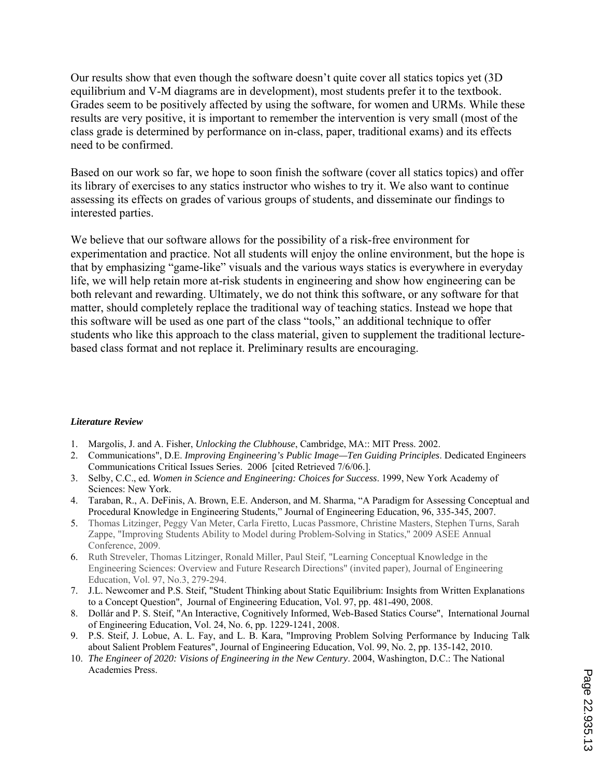Our results show that even though the software doesn't quite cover all statics topics yet (3D equilibrium and V-M diagrams are in development), most students prefer it to the textbook. Grades seem to be positively affected by using the software, for women and URMs. While these results are very positive, it is important to remember the intervention is very small (most of the class grade is determined by performance on in-class, paper, traditional exams) and its effects need to be confirmed.

Based on our work so far, we hope to soon finish the software (cover all statics topics) and offer its library of exercises to any statics instructor who wishes to try it. We also want to continue assessing its effects on grades of various groups of students, and disseminate our findings to interested parties.

We believe that our software allows for the possibility of a risk-free environment for experimentation and practice. Not all students will enjoy the online environment, but the hope is that by emphasizing "game-like" visuals and the various ways statics is everywhere in everyday life, we will help retain more at-risk students in engineering and show how engineering can be both relevant and rewarding. Ultimately, we do not think this software, or any software for that matter, should completely replace the traditional way of teaching statics. Instead we hope that this software will be used as one part of the class "tools," an additional technique to offer students who like this approach to the class material, given to supplement the traditional lecturebased class format and not replace it. Preliminary results are encouraging.

#### *Literature Review*

- 1. Margolis, J. and A. Fisher, *Unlocking the Clubhouse*, Cambridge, MA:: MIT Press. 2002.
- 2. Communications", D.E. *Improving Engineering's Public Image—Ten Guiding Principles*. Dedicated Engineers Communications Critical Issues Series. 2006 [cited Retrieved 7/6/06.].
- 3. Selby, C.C., ed. *Women in Science and Engineering: Choices for Success*. 1999, New York Academy of Sciences: New York.
- 4. Taraban, R., A. DeFinis, A. Brown, E.E. Anderson, and M. Sharma, "A Paradigm for Assessing Conceptual and Procedural Knowledge in Engineering Students," Journal of Engineering Education, 96, 335-345, 2007.
- 5. Thomas Litzinger, Peggy Van Meter, Carla Firetto, Lucas Passmore, Christine Masters, Stephen Turns, Sarah Zappe, "Improving Students Ability to Model during Problem-Solving in Statics," 2009 ASEE Annual Conference, 2009.
- 6. Ruth Streveler, Thomas Litzinger, Ronald Miller, Paul Steif, "Learning Conceptual Knowledge in the Engineering Sciences: Overview and Future Research Directions" (invited paper), Journal of Engineering Education, Vol. 97, No.3, 279-294.
- 7. J.L. Newcomer and P.S. Steif, "Student Thinking about Static Equilibrium: Insights from Written Explanations to a Concept Question", Journal of Engineering Education, Vol. 97, pp. 481-490, 2008.
- 8. Dollár and P. S. Steif, "An Interactive, Cognitively Informed, Web-Based Statics Course", International Journal of Engineering Education, Vol. 24, No. 6, pp. 1229-1241, 2008.
- 9. P.S. Steif, J. Lobue, A. L. Fay, and L. B. Kara, "Improving Problem Solving Performance by Inducing Talk about Salient Problem Features", Journal of Engineering Education, Vol. 99, No. 2, pp. 135-142, 2010.
- 10. *The Engineer of 2020: Visions of Engineering in the New Century*. 2004, Washington, D.C.: The National Academies Press.